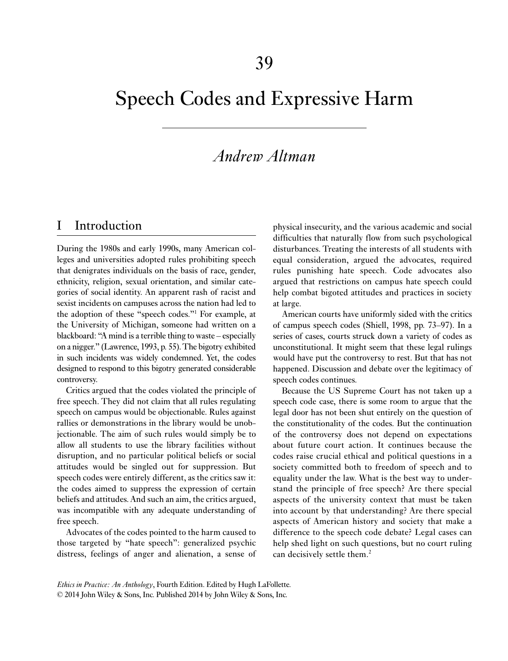# Speech Codes and Expressive Harm

# *Andrew Altman*

## I Introduction

During the 1980s and early 1990s, many American colleges and universities adopted rules prohibiting speech that denigrates individuals on the basis of race, gender, ethnicity, religion, sexual orientation, and similar categories of social identity. An apparent rash of racist and sexist incidents on campuses across the nation had led to the adoption of these "speech codes."1 For example, at the University of Michigan, someone had written on a blackboard: "A mind is a terrible thing to waste – especially on a nigger." (Lawrence, 1993, p. 55). The bigotry exhibited in such incidents was widely condemned. Yet, the codes designed to respond to this bigotry generated considerable controversy.

Critics argued that the codes violated the principle of free speech. They did not claim that all rules regulating speech on campus would be objectionable. Rules against rallies or demonstrations in the library would be unobjectionable. The aim of such rules would simply be to allow all students to use the library facilities without disruption, and no particular political beliefs or social attitudes would be singled out for suppression. But speech codes were entirely different, as the critics saw it: the codes aimed to suppress the expression of certain beliefs and attitudes. And such an aim, the critics argued, was incompatible with any adequate understanding of free speech.

Advocates of the codes pointed to the harm caused to those targeted by "hate speech": generalized psychic distress, feelings of anger and alienation, a sense of physical insecurity, and the various academic and social difficulties that naturally flow from such psychological disturbances. Treating the interests of all students with equal consideration, argued the advocates, required rules punishing hate speech. Code advocates also argued that restrictions on campus hate speech could help combat bigoted attitudes and practices in society at large.

American courts have uniformly sided with the critics of campus speech codes (Shiell, 1998, pp. 73–97). In a series of cases, courts struck down a variety of codes as unconstitutional. It might seem that these legal rulings would have put the controversy to rest. But that has not happened. Discussion and debate over the legitimacy of speech codes continues.

Because the US Supreme Court has not taken up a speech code case, there is some room to argue that the legal door has not been shut entirely on the question of the constitutionality of the codes. But the continuation of the controversy does not depend on expectations about future court action. It continues because the codes raise crucial ethical and political questions in a society committed both to freedom of speech and to equality under the law. What is the best way to understand the principle of free speech? Are there special aspects of the university context that must be taken into account by that understanding? Are there special aspects of American history and society that make a difference to the speech code debate? Legal cases can help shed light on such questions, but no court ruling can decisively settle them.<sup>2</sup>

*Ethics in Practice: An Anthology*, Fourth Edition. Edited by Hugh LaFollette. © 2014 John Wiley & Sons, Inc. Published 2014 by John Wiley & Sons, Inc.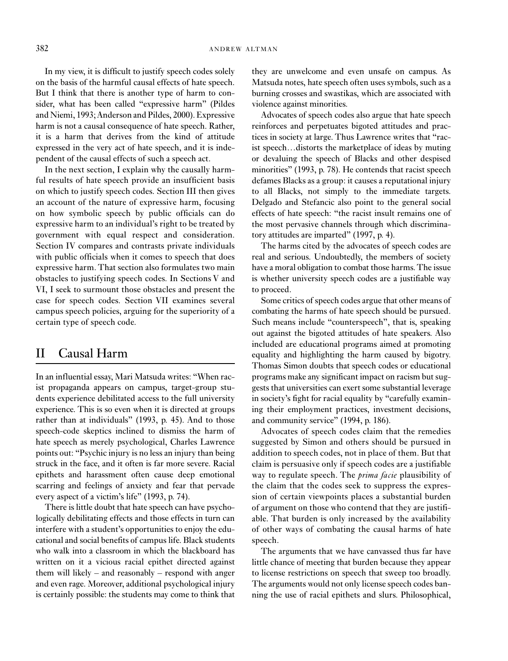In my view, it is difficult to justify speech codes solely on the basis of the harmful causal effects of hate speech. But I think that there is another type of harm to consider, what has been called "expressive harm" (Pildes and Niemi, 1993; Anderson and Pildes, 2000). Expressive harm is not a causal consequence of hate speech. Rather, it is a harm that derives from the kind of attitude expressed in the very act of hate speech, and it is independent of the causal effects of such a speech act.

In the next section, I explain why the causally harmful results of hate speech provide an insufficient basis on which to justify speech codes. Section III then gives an account of the nature of expressive harm, focusing on how symbolic speech by public officials can do expressive harm to an individual's right to be treated by government with equal respect and consideration. Section IV compares and contrasts private individuals with public officials when it comes to speech that does expressive harm. That section also formulates two main obstacles to justifying speech codes. In Sections V and VI, I seek to surmount those obstacles and present the case for speech codes. Section VII examines several campus speech policies, arguing for the superiority of a certain type of speech code.

#### II Causal Harm

In an influential essay, Mari Matsuda writes: "When racist propaganda appears on campus, target-group students experience debilitated access to the full university experience. This is so even when it is directed at groups rather than at individuals" (1993, p. 45). And to those speech-code skeptics inclined to dismiss the harm of hate speech as merely psychological, Charles Lawrence points out: "Psychic injury is no less an injury than being struck in the face, and it often is far more severe. Racial epithets and harassment often cause deep emotional scarring and feelings of anxiety and fear that pervade every aspect of a victim's life" (1993, p. 74).

There is little doubt that hate speech can have psychologically debilitating effects and those effects in turn can interfere with a student's opportunities to enjoy the educational and social benefits of campus life. Black students who walk into a classroom in which the blackboard has written on it a vicious racial epithet directed against them will likely – and reasonably – respond with anger and even rage. Moreover, additional psychological injury is certainly possible: the students may come to think that they are unwelcome and even unsafe on campus. As Matsuda notes, hate speech often uses symbols, such as a burning crosses and swastikas, which are associated with violence against minorities.

Advocates of speech codes also argue that hate speech reinforces and perpetuates bigoted attitudes and practices in society at large. Thus Lawrence writes that "racist speech…distorts the marketplace of ideas by muting or devaluing the speech of Blacks and other despised minorities" (1993, p. 78). He contends that racist speech defames Blacks as a group: it causes a reputational injury to all Blacks, not simply to the immediate targets. Delgado and Stefancic also point to the general social effects of hate speech: "the racist insult remains one of the most pervasive channels through which discriminatory attitudes are imparted" (1997, p. 4).

The harms cited by the advocates of speech codes are real and serious. Undoubtedly, the members of society have a moral obligation to combat those harms. The issue is whether university speech codes are a justifiable way to proceed.

Some critics of speech codes argue that other means of combating the harms of hate speech should be pursued. Such means include "counterspeech", that is, speaking out against the bigoted attitudes of hate speakers. Also included are educational programs aimed at promoting equality and highlighting the harm caused by bigotry. Thomas Simon doubts that speech codes or educational programs make any significant impact on racism but suggests that universities can exert some substantial leverage in society's fight for racial equality by "carefully examining their employment practices, investment decisions, and community service" (1994, p. 186).

Advocates of speech codes claim that the remedies suggested by Simon and others should be pursued in addition to speech codes, not in place of them. But that claim is persuasive only if speech codes are a justifiable way to regulate speech. The *prima facie* plausibility of the claim that the codes seek to suppress the expression of certain viewpoints places a substantial burden of argument on those who contend that they are justifiable. That burden is only increased by the availability of other ways of combating the causal harms of hate speech.

The arguments that we have canvassed thus far have little chance of meeting that burden because they appear to license restrictions on speech that sweep too broadly. The arguments would not only license speech codes banning the use of racial epithets and slurs. Philosophical,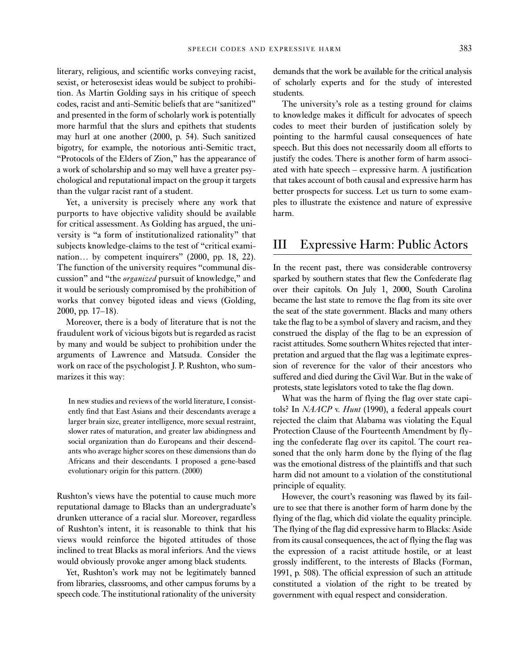literary, religious, and scientific works conveying racist, sexist, or heterosexist ideas would be subject to prohibition. As Martin Golding says in his critique of speech codes, racist and anti-Semitic beliefs that are "sanitized" and presented in the form of scholarly work is potentially more harmful that the slurs and epithets that students may hurl at one another (2000, p. 54). Such sanitized bigotry, for example, the notorious anti-Semitic tract, "Protocols of the Elders of Zion," has the appearance of a work of scholarship and so may well have a greater psychological and reputational impact on the group it targets than the vulgar racist rant of a student.

Yet, a university is precisely where any work that purports to have objective validity should be available for critical assessment. As Golding has argued, the university is "a form of institutionalized rationality" that subjects knowledge-claims to the test of "critical examination… by competent inquirers" (2000, pp. 18, 22). The function of the university requires "communal discussion" and "the *organized* pursuit of knowledge," and it would be seriously compromised by the prohibition of works that convey bigoted ideas and views (Golding, 2000, pp. 17–18).

Moreover, there is a body of literature that is not the fraudulent work of vicious bigots but is regarded as racist by many and would be subject to prohibition under the arguments of Lawrence and Matsuda. Consider the work on race of the psychologist J. P. Rushton, who summarizes it this way:

In new studies and reviews of the world literature, I consistently find that East Asians and their descendants average a larger brain size, greater intelligence, more sexual restraint, slower rates of maturation, and greater law abidingness and social organization than do Europeans and their descendants who average higher scores on these dimensions than do Africans and their descendants. I proposed a gene-based evolutionary origin for this pattern. (2000)

Rushton's views have the potential to cause much more reputational damage to Blacks than an undergraduate's drunken utterance of a racial slur. Moreover, regardless of Rushton's intent, it is reasonable to think that his views would reinforce the bigoted attitudes of those inclined to treat Blacks as moral inferiors. And the views would obviously provoke anger among black students.

Yet, Rushton's work may not be legitimately banned from libraries, classrooms, and other campus forums by a speech code. The institutional rationality of the university demands that the work be available for the critical analysis of scholarly experts and for the study of interested students.

The university's role as a testing ground for claims to knowledge makes it difficult for advocates of speech codes to meet their burden of justification solely by pointing to the harmful causal consequences of hate speech. But this does not necessarily doom all efforts to justify the codes. There is another form of harm associated with hate speech – expressive harm. A justification that takes account of both causal and expressive harm has better prospects for success. Let us turn to some examples to illustrate the existence and nature of expressive harm.

#### III Expressive Harm: Public Actors

In the recent past, there was considerable controversy sparked by southern states that flew the Confederate flag over their capitols. On July 1, 2000, South Carolina became the last state to remove the flag from its site over the seat of the state government. Blacks and many others take the flag to be a symbol of slavery and racism, and they construed the display of the flag to be an expression of racist attitudes. Some southern Whites rejected that interpretation and argued that the flag was a legitimate expression of reverence for the valor of their ancestors who suffered and died during the Civil War. But in the wake of protests, state legislators voted to take the flag down.

What was the harm of flying the flag over state capitols? In *NAACP* v. *Hunt* (1990), a federal appeals court rejected the claim that Alabama was violating the Equal Protection Clause of the Fourteenth Amendment by flying the confederate flag over its capitol. The court reasoned that the only harm done by the flying of the flag was the emotional distress of the plaintiffs and that such harm did not amount to a violation of the constitutional principle of equality.

However, the court's reasoning was flawed by its failure to see that there is another form of harm done by the flying of the flag, which did violate the equality principle. The flying of the flag did expressive harm to Blacks: Aside from its causal consequences, the act of flying the flag was the expression of a racist attitude hostile, or at least grossly indifferent, to the interests of Blacks (Forman, 1991, p. 508). The official expression of such an attitude constituted a violation of the right to be treated by government with equal respect and consideration.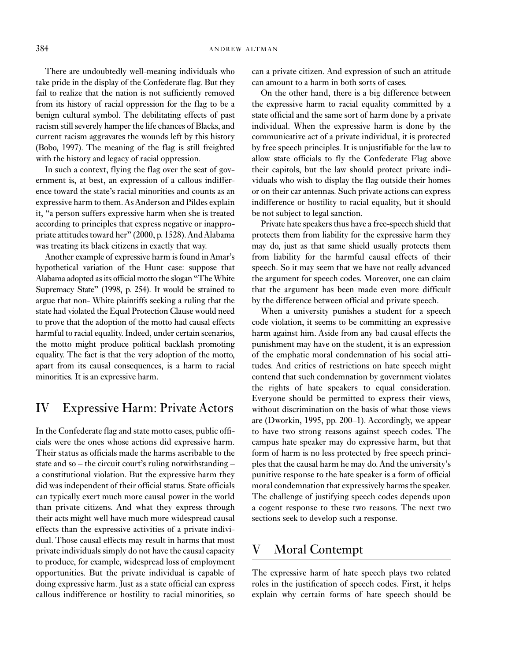There are undoubtedly well-meaning individuals who take pride in the display of the Confederate flag. But they fail to realize that the nation is not sufficiently removed from its history of racial oppression for the flag to be a benign cultural symbol. The debilitating effects of past racism still severely hamper the life chances of Blacks, and current racism aggravates the wounds left by this history (Bobo, 1997). The meaning of the flag is still freighted with the history and legacy of racial oppression.

In such a context, flying the flag over the seat of government is, at best, an expression of a callous indifference toward the state's racial minorities and counts as an expressive harm to them. As Anderson and Pildes explain it, "a person suffers expressive harm when she is treated according to principles that express negative or inappropriate attitudes toward her" (2000, p. 1528). And Alabama was treating its black citizens in exactly that way.

Another example of expressive harm is found in Amar's hypothetical variation of the Hunt case: suppose that Alabama adopted as its official motto the slogan "The White Supremacy State" (1998, p. 254). It would be strained to argue that non- White plaintiffs seeking a ruling that the state had violated the Equal Protection Clause would need to prove that the adoption of the motto had causal effects harmful to racial equality. Indeed, under certain scenarios, the motto might produce political backlash promoting equality. The fact is that the very adoption of the motto, apart from its causal consequences, is a harm to racial minorities. It is an expressive harm.

# IV Expressive Harm: Private Actors

In the Confederate flag and state motto cases, public officials were the ones whose actions did expressive harm. Their status as officials made the harms ascribable to the state and so – the circuit court's ruling notwithstanding – a constitutional violation. But the expressive harm they did was independent of their official status. State officials can typically exert much more causal power in the world than private citizens. And what they express through their acts might well have much more widespread causal effects than the expressive activities of a private individual. Those causal effects may result in harms that most private individuals simply do not have the causal capacity to produce, for example, widespread loss of employment opportunities. But the private individual is capable of doing expressive harm. Just as a state official can express callous indifference or hostility to racial minorities, so can a private citizen. And expression of such an attitude can amount to a harm in both sorts of cases.

On the other hand, there is a big difference between the expressive harm to racial equality committed by a state official and the same sort of harm done by a private individual. When the expressive harm is done by the communicative act of a private individual, it is protected by free speech principles. It is unjustifiable for the law to allow state officials to fly the Confederate Flag above their capitols, but the law should protect private individuals who wish to display the flag outside their homes or on their car antennas. Such private actions can express indifference or hostility to racial equality, but it should be not subject to legal sanction.

Private hate speakers thus have a free-speech shield that protects them from liability for the expressive harm they may do, just as that same shield usually protects them from liability for the harmful causal effects of their speech. So it may seem that we have not really advanced the argument for speech codes. Moreover, one can claim that the argument has been made even more difficult by the difference between official and private speech.

When a university punishes a student for a speech code violation, it seems to be committing an expressive harm against him. Aside from any bad causal effects the punishment may have on the student, it is an expression of the emphatic moral condemnation of his social attitudes. And critics of restrictions on hate speech might contend that such condemnation by government violates the rights of hate speakers to equal consideration. Everyone should be permitted to express their views, without discrimination on the basis of what those views are (Dworkin, 1995, pp. 200–1). Accordingly, we appear to have two strong reasons against speech codes. The campus hate speaker may do expressive harm, but that form of harm is no less protected by free speech principles that the causal harm he may do. And the university's punitive response to the hate speaker is a form of official moral condemnation that expressively harms the speaker. The challenge of justifying speech codes depends upon a cogent response to these two reasons. The next two sections seek to develop such a response.

## V Moral Contempt

The expressive harm of hate speech plays two related roles in the justification of speech codes. First, it helps explain why certain forms of hate speech should be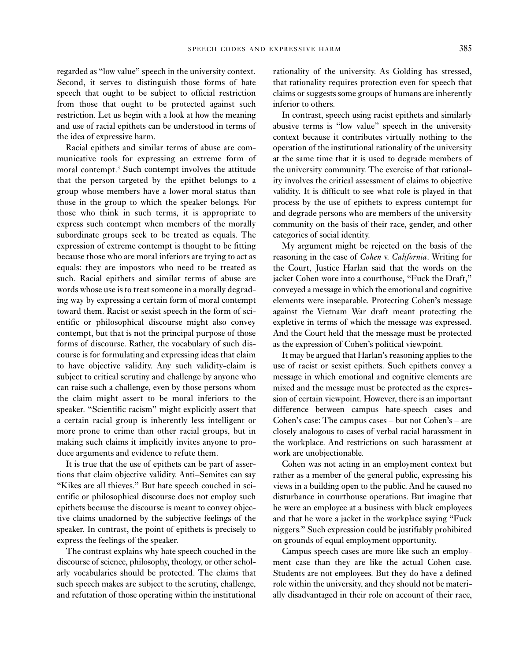regarded as "low value" speech in the university context. Second, it serves to distinguish those forms of hate speech that ought to be subject to official restriction from those that ought to be protected against such restriction. Let us begin with a look at how the meaning and use of racial epithets can be understood in terms of the idea of expressive harm.

Racial epithets and similar terms of abuse are communicative tools for expressing an extreme form of moral contempt.3 Such contempt involves the attitude that the person targeted by the epithet belongs to a group whose members have a lower moral status than those in the group to which the speaker belongs. For those who think in such terms, it is appropriate to express such contempt when members of the morally subordinate groups seek to be treated as equals. The expression of extreme contempt is thought to be fitting because those who are moral inferiors are trying to act as equals: they are impostors who need to be treated as such. Racial epithets and similar terms of abuse are words whose use is to treat someone in a morally degrading way by expressing a certain form of moral contempt toward them. Racist or sexist speech in the form of scientific or philosophical discourse might also convey contempt, but that is not the principal purpose of those forms of discourse. Rather, the vocabulary of such discourse is for formulating and expressing ideas that claim to have objective validity. Any such validity-claim is subject to critical scrutiny and challenge by anyone who can raise such a challenge, even by those persons whom the claim might assert to be moral inferiors to the speaker. "Scientific racism" might explicitly assert that a certain racial group is inherently less intelligent or more prone to crime than other racial groups, but in making such claims it implicitly invites anyone to produce arguments and evidence to refute them.

It is true that the use of epithets can be part of assertions that claim objective validity. Anti–Semites can say "Kikes are all thieves." But hate speech couched in scientific or philosophical discourse does not employ such epithets because the discourse is meant to convey objective claims unadorned by the subjective feelings of the speaker. In contrast, the point of epithets is precisely to express the feelings of the speaker.

The contrast explains why hate speech couched in the discourse of science, philosophy, theology, or other scholarly vocabularies should be protected. The claims that such speech makes are subject to the scrutiny, challenge, and refutation of those operating within the institutional rationality of the university. As Golding has stressed, that rationality requires protection even for speech that claims or suggests some groups of humans are inherently inferior to others.

In contrast, speech using racist epithets and similarly abusive terms is "low value" speech in the university context because it contributes virtually nothing to the operation of the institutional rationality of the university at the same time that it is used to degrade members of the university community. The exercise of that rationality involves the critical assessment of claims to objective validity. It is difficult to see what role is played in that process by the use of epithets to express contempt for and degrade persons who are members of the university community on the basis of their race, gender, and other categories of social identity.

My argument might be rejected on the basis of the reasoning in the case of *Cohen* v. *California*. Writing for the Court, Justice Harlan said that the words on the jacket Cohen wore into a courthouse, "Fuck the Draft," conveyed a message in which the emotional and cognitive elements were inseparable. Protecting Cohen's message against the Vietnam War draft meant protecting the expletive in terms of which the message was expressed. And the Court held that the message must be protected as the expression of Cohen's political viewpoint.

It may be argued that Harlan's reasoning applies to the use of racist or sexist epithets. Such epithets convey a message in which emotional and cognitive elements are mixed and the message must be protected as the expression of certain viewpoint. However, there is an important difference between campus hate-speech cases and Cohen's case: The campus cases – but not Cohen's – are closely analogous to cases of verbal racial harassment in the workplace. And restrictions on such harassment at work are unobjectionable.

Cohen was not acting in an employment context but rather as a member of the general public, expressing his views in a building open to the public. And he caused no disturbance in courthouse operations. But imagine that he were an employee at a business with black employees and that he wore a jacket in the workplace saying "Fuck niggers." Such expression could be justifiably prohibited on grounds of equal employment opportunity.

Campus speech cases are more like such an employment case than they are like the actual Cohen case. Students are not employees. But they do have a defined role within the university, and they should not be materially disadvantaged in their role on account of their race,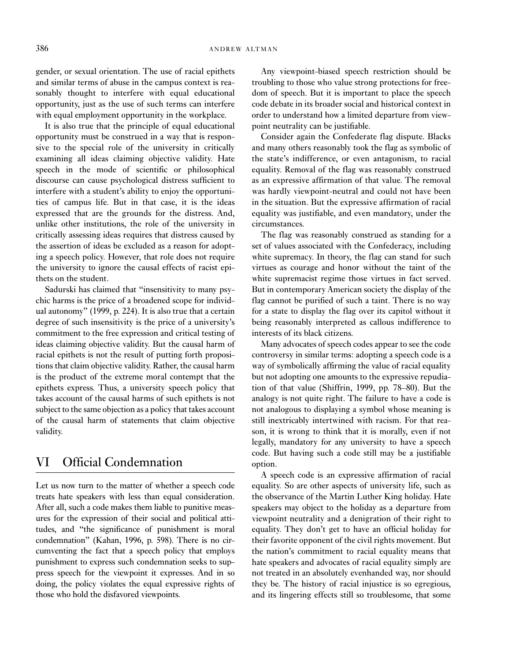gender, or sexual orientation. The use of racial epithets and similar terms of abuse in the campus context is reasonably thought to interfere with equal educational opportunity, just as the use of such terms can interfere with equal employment opportunity in the workplace.

It is also true that the principle of equal educational opportunity must be construed in a way that is responsive to the special role of the university in critically examining all ideas claiming objective validity. Hate speech in the mode of scientific or philosophical discourse can cause psychological distress sufficient to interfere with a student's ability to enjoy the opportunities of campus life. But in that case, it is the ideas expressed that are the grounds for the distress. And, unlike other institutions, the role of the university in critically assessing ideas requires that distress caused by the assertion of ideas be excluded as a reason for adopting a speech policy. However, that role does not require the university to ignore the causal effects of racist epithets on the student.

Sadurski has claimed that "insensitivity to many psychic harms is the price of a broadened scope for individual autonomy" (1999, p. 224). It is also true that a certain degree of such insensitivity is the price of a university's commitment to the free expression and critical testing of ideas claiming objective validity. But the causal harm of racial epithets is not the result of putting forth propositions that claim objective validity. Rather, the causal harm is the product of the extreme moral contempt that the epithets express. Thus, a university speech policy that takes account of the causal harms of such epithets is not subject to the same objection as a policy that takes account of the causal harm of statements that claim objective validity.

# VI Official Condemnation

Let us now turn to the matter of whether a speech code treats hate speakers with less than equal consideration. After all, such a code makes them liable to punitive measures for the expression of their social and political attitudes, and "the significance of punishment is moral condemnation" (Kahan, 1996, p. 598). There is no circumventing the fact that a speech policy that employs punishment to express such condemnation seeks to suppress speech for the viewpoint it expresses. And in so doing, the policy violates the equal expressive rights of those who hold the disfavored viewpoints.

Any viewpoint-biased speech restriction should be troubling to those who value strong protections for freedom of speech. But it is important to place the speech code debate in its broader social and historical context in order to understand how a limited departure from viewpoint neutrality can be justifiable.

Consider again the Confederate flag dispute. Blacks and many others reasonably took the flag as symbolic of the state's indifference, or even antagonism, to racial equality. Removal of the flag was reasonably construed as an expressive affirmation of that value. The removal was hardly viewpoint-neutral and could not have been in the situation. But the expressive affirmation of racial equality was justifiable, and even mandatory, under the circumstances.

The flag was reasonably construed as standing for a set of values associated with the Confederacy, including white supremacy. In theory, the flag can stand for such virtues as courage and honor without the taint of the white supremacist regime those virtues in fact served. But in contemporary American society the display of the flag cannot be purified of such a taint. There is no way for a state to display the flag over its capitol without it being reasonably interpreted as callous indifference to interests of its black citizens.

Many advocates of speech codes appear to see the code controversy in similar terms: adopting a speech code is a way of symbolically affirming the value of racial equality but not adopting one amounts to the expressive repudiation of that value (Shiffrin, 1999, pp. 78–80). But the analogy is not quite right. The failure to have a code is not analogous to displaying a symbol whose meaning is still inextricably intertwined with racism. For that reason, it is wrong to think that it is morally, even if not legally, mandatory for any university to have a speech code. But having such a code still may be a justifiable option.

A speech code is an expressive affirmation of racial equality. So are other aspects of university life, such as the observance of the Martin Luther King holiday. Hate speakers may object to the holiday as a departure from viewpoint neutrality and a denigration of their right to equality. They don't get to have an official holiday for their favorite opponent of the civil rights movement. But the nation's commitment to racial equality means that hate speakers and advocates of racial equality simply are not treated in an absolutely evenhanded way, nor should they be. The history of racial injustice is so egregious, and its lingering effects still so troublesome, that some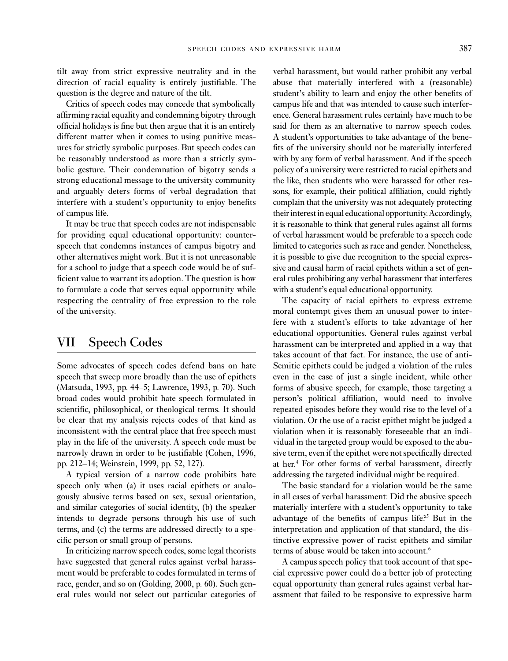tilt away from strict expressive neutrality and in the direction of racial equality is entirely justifiable. The question is the degree and nature of the tilt.

Critics of speech codes may concede that symbolically affirming racial equality and condemning bigotry through official holidays is fine but then argue that it is an entirely different matter when it comes to using punitive measures for strictly symbolic purposes. But speech codes can be reasonably understood as more than a strictly symbolic gesture. Their condemnation of bigotry sends a strong educational message to the university community and arguably deters forms of verbal degradation that interfere with a student's opportunity to enjoy benefits of campus life.

It may be true that speech codes are not indispensable for providing equal educational opportunity: counterspeech that condemns instances of campus bigotry and other alternatives might work. But it is not unreasonable for a school to judge that a speech code would be of sufficient value to warrant its adoption. The question is how to formulate a code that serves equal opportunity while respecting the centrality of free expression to the role of the university.

#### VII Speech Codes

Some advocates of speech codes defend bans on hate speech that sweep more broadly than the use of epithets (Matsuda, 1993, pp. 44–5; Lawrence, 1993, p. 70). Such broad codes would prohibit hate speech formulated in scientific, philosophical, or theological terms. It should be clear that my analysis rejects codes of that kind as inconsistent with the central place that free speech must play in the life of the university. A speech code must be narrowly drawn in order to be justifiable (Cohen, 1996, pp. 212–14; Weinstein, 1999, pp. 52, 127).

A typical version of a narrow code prohibits hate speech only when (a) it uses racial epithets or analogously abusive terms based on sex, sexual orientation, and similar categories of social identity, (b) the speaker intends to degrade persons through his use of such terms, and (c) the terms are addressed directly to a specific person or small group of persons.

In criticizing narrow speech codes, some legal theorists have suggested that general rules against verbal harassment would be preferable to codes formulated in terms of race, gender, and so on (Golding, 2000, p. 60). Such general rules would not select out particular categories of verbal harassment, but would rather prohibit any verbal abuse that materially interfered with a (reasonable) student's ability to learn and enjoy the other benefits of campus life and that was intended to cause such interference. General harassment rules certainly have much to be said for them as an alternative to narrow speech codes. A student's opportunities to take advantage of the benefits of the university should not be materially interfered with by any form of verbal harassment. And if the speech policy of a university were restricted to racial epithets and the like, then students who were harassed for other reasons, for example, their political affiliation, could rightly complain that the university was not adequately protecting their interest in equal educational opportunity. Accordingly, it is reasonable to think that general rules against all forms of verbal harassment would be preferable to a speech code limited to categories such as race and gender. Nonetheless, it is possible to give due recognition to the special expressive and causal harm of racial epithets within a set of general rules prohibiting any verbal harassment that interferes with a student's equal educational opportunity.

The capacity of racial epithets to express extreme moral contempt gives them an unusual power to interfere with a student's efforts to take advantage of her educational opportunities. General rules against verbal harassment can be interpreted and applied in a way that takes account of that fact. For instance, the use of anti-Semitic epithets could be judged a violation of the rules even in the case of just a single incident, while other forms of abusive speech, for example, those targeting a person's political affiliation, would need to involve repeated episodes before they would rise to the level of a violation. Or the use of a racist epithet might be judged a violation when it is reasonably foreseeable that an individual in the targeted group would be exposed to the abusive term, even if the epithet were not specifically directed at her.<sup>4</sup> For other forms of verbal harassment, directly addressing the targeted individual might be required.

The basic standard for a violation would be the same in all cases of verbal harassment: Did the abusive speech materially interfere with a student's opportunity to take advantage of the benefits of campus life?<sup>5</sup> But in the interpretation and application of that standard, the distinctive expressive power of racist epithets and similar terms of abuse would be taken into account.<sup>6</sup>

A campus speech policy that took account of that special expressive power could do a better job of protecting equal opportunity than general rules against verbal harassment that failed to be responsive to expressive harm